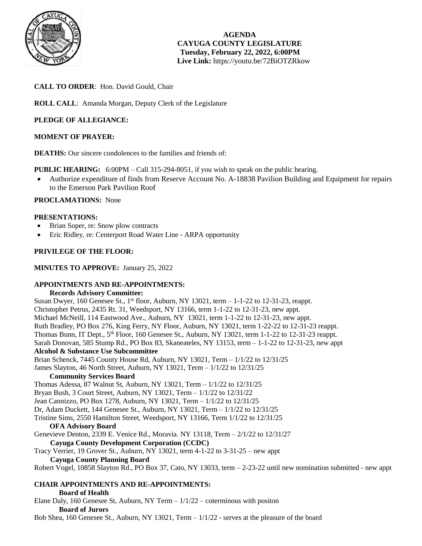

**AGENDA CAYUGA COUNTY LEGISLATURE Tuesday, February 22, 2022, 6:00PM Live Link:** <https://youtu.be/72BiOTZRkow>

# **CALL TO ORDER**: Hon. David Gould, Chair

**ROLL CALL**: Amanda Morgan, Deputy Clerk of the Legislature

# **PLEDGE OF ALLEGIANCE:**

# **MOMENT OF PRAYER:**

**DEATHS:** Our sincere condolences to the families and friends of:

**PUBLIC HEARING:** 6:00PM – Call 315-294-8051, if you wish to speak on the public hearing.

 Authorize expenditure of finds from Reserve Account No. A-18838 Pavilion Building and Equipment for repairs to the Emerson Park Pavilion Roof

# **PROCLAMATIONS:** None

#### **PRESENTATIONS:**

- Brian Soper, re: Snow plow contracts
- Eric Ridley, re: Centerport Road Water Line ARPA opportunity

# **PRIVILEGE OF THE FLOOR:**

#### **MINUTES TO APPROVE:** January 25, 2022

# **APPOINTMENTS AND RE-APPOINTMENTS:**

#### **Records Advisory Committee:**

Susan Dwyer, 160 Genesee St., 1<sup>st</sup> floor, Auburn, NY 13021, term  $-1$ -1-22 to 12-31-23, reappt. Christopher Petrus, 2435 Rt. 31, Weedsport, NY 13166, term 1-1-22 to 12-31-23, new appt. Michael McNeill, 114 Eastwood Ave., Auburn, NY 13021, term 1-1-22 to 12-31-23, new appt. Ruth Bradley, PO Box 276, King Ferry, NY Floor, Auburn, NY 13021, term 1-22-22 to 12-31-23 reappt. Thomas Bunn, IT Dept., 5<sup>th</sup> Floor, 160 Genesee St., Auburn, NY 13021, term 1-1-22 to 12-31-23 reappt. Sarah Donovan, 585 Stump Rd., PO Box 83, Skaneateles, NY 13153, term – 1-1-22 to 12-31-23, new appt **Alcohol & Substance Use Subcommittee** Brian Schenck, 7445 County House Rd, Auburn, NY 13021, Term – 1/1/22 to 12/31/25 James Slayton, 46 North Street, Auburn, NY 13021, Term – 1/1/22 to 12/31/25 **Community Services Board** Thomas Adessa, 87 Walnut St, Auburn, NY 13021, Term – 1/1/22 to 12/31/25 Bryan Bush, 3 Court Street, Auburn, NY 13021, Term – 1/1/22 to 12/31/22 Jean Cannizzo, PO Box 1278, Auburn, NY 13021, Term – 1/1/22 to 12/31/25 Dr, Adam Duckett, 144 Genesee St., Auburn, NY 13021, Term – 1/1/22 to 12/31/25 Tristine Sims, 2550 Hamilton Street, Weedsport, NY 13166, Term 1/1/22 to 12/31/25 **OFA Advisory Board** Genevieve Denton, 2339 E. Venice Rd., Moravia. NY 13118, Term – 2/1/22 to 12/31/27  **Cayuga County Development Corporation (CCDC)** Tracy Verrier, 19 Grover St., Auburn, NY 13021, term 4-1-22 to 3-31-25 – new appt **Cayuga County Planning Board** Robert Vogel, 10858 Slayton Rd., PO Box 37, Cato, NY 13033, term – 2-23-22 until new nomination submitted - new appt

# **CHAIR APPOINTMENTS AND RE-APPOINTMENTS: Board of Health**

Elane Daly, 160 Genesee St, Auburn, NY Term – 1/1/22 – coterminous with positon **Board of Jurors** 

Bob Shea, 160 Genesee St., Auburn, NY 13021, Term – 1/1/22 - serves at the pleasure of the board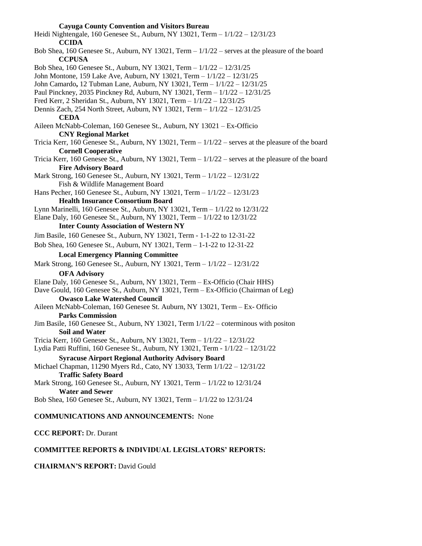#### **Cayuga County Convention and Visitors Bureau**

Heidi Nightengale, 160 Genesee St., Auburn, NY 13021, Term – 1/1/22 – 12/31/23 **CCIDA**  Bob Shea, 160 Genesee St., Auburn, NY 13021, Term – 1/1/22 – serves at the pleasure of the board  **CCPUSA**  Bob Shea, 160 Genesee St., Auburn, NY 13021, Term – 1/1/22 – 12/31/25 John Montone, 159 Lake Ave, Auburn, NY 13021, Term – 1/1/22 – 12/31/25 John Camardo**,** 12 Tubman Lane, Auburn, NY 13021, Term – 1/1/22 – 12/31/25 Paul Pinckney, 2035 Pinckney Rd, Auburn, NY 13021, Term – 1/1/22 – 12/31/25 Fred Kerr, 2 Sheridan St., Auburn, NY 13021, Term – 1/1/22 – 12/31/25 Dennis Zach, 254 North Street, Auburn, NY 13021, Term – 1/1/22 – 12/31/25 **CEDA** Aileen McNabb-Coleman, 160 Genesee St., Auburn, NY 13021 – Ex-Officio **CNY Regional Market** Tricia Kerr, 160 Genesee St., Auburn, NY 13021, Term  $-1/1/22$  – serves at the pleasure of the board **Cornell Cooperative** Tricia Kerr, 160 Genesee St., Auburn, NY 13021, Term – 1/1/22 – serves at the pleasure of the board **Fire Advisory Board**  Mark Strong, 160 Genesee St., Auburn, NY 13021, Term – 1/1/22 – 12/31/22 Fish & Wildlife Management Board Hans Pecher, 160 Genesee St., Auburn, NY 13021, Term – 1/1/22 – 12/31/23 **Health Insurance Consortium Board** Lynn Marinelli, 160 Genesee St., Auburn, NY 13021, Term – 1/1/22 to 12/31/22 Elane Daly, 160 Genesee St., Auburn, NY 13021, Term – 1/1/22 to 12/31/22 **Inter County Association of Western NY**  Jim Basile, 160 Genesee St., Auburn, NY 13021, Term - 1-1-22 to 12-31-22 Bob Shea, 160 Genesee St., Auburn, NY 13021, Term – 1-1-22 to 12-31-22  **Local Emergency Planning Committee** Mark Strong, 160 Genesee St., Auburn, NY 13021, Term – 1/1/22 – 12/31/22 **OFA Advisory** Elane Daly, 160 Genesee St., Auburn, NY 13021, Term – Ex-Officio (Chair HHS) Dave Gould, 160 Genesee St., Auburn, NY 13021, Term – Ex-Officio (Chairman of Leg) **Owasco Lake Watershed Council**  Aileen McNabb-Coleman, 160 Genesee St. Auburn, NY 13021, Term – Ex- Officio  **Parks Commission** Jim Basile, 160 Genesee St., Auburn, NY 13021, Term 1/1/22 – coterminous with positon **Soil and Water** Tricia Kerr, 160 Genesee St., Auburn, NY 13021, Term – 1/1/22 – 12/31/22 Lydia Patti Ruffini, 160 Genesee St., Auburn, NY 13021, Term - 1/1/22 – 12/31/22 **Syracuse Airport Regional Authority Advisory Board**  Michael Chapman, 11290 Myers Rd., Cato, NY 13033, Term 1/1/22 – 12/31/22 **Traffic Safety Board**  Mark Strong, 160 Genesee St., Auburn, NY 13021, Term – 1/1/22 to 12/31/24 **Water and Sewer**  Bob Shea, 160 Genesee St., Auburn, NY 13021, Term – 1/1/22 to 12/31/24 **COMMUNICATIONS AND ANNOUNCEMENTS:** None **CCC REPORT:** Dr. Durant

#### **COMMITTEE REPORTS & INDIVIDUAL LEGISLATORS' REPORTS:**

#### **CHAIRMAN'S REPORT:** David Gould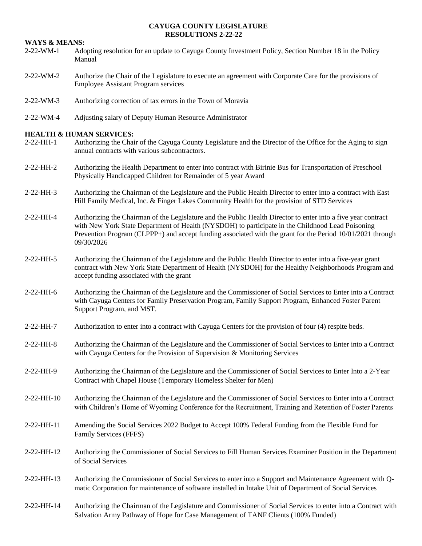#### **CAYUGA COUNTY LEGISLATURE RESOLUTIONS 2-22-22**

# **WAYS & MEANS:**

- 2-22-WM-1 Adopting resolution for an update to Cayuga County Investment Policy, Section Number 18 in the Policy Manual
- 2-22-WM-2 Authorize the Chair of the Legislature to execute an agreement with Corporate Care for the provisions of Employee Assistant Program services
- 2-22-WM-3 Authorizing correction of tax errors in the Town of Moravia
- 2-22-WM-4 Adjusting salary of Deputy Human Resource Administrator

# **HEALTH & HUMAN SERVICES:**

- 2-22-HH-1 Authorizing the Chair of the Cayuga County Legislature and the Director of the Office for the Aging to sign annual contracts with various subcontractors.
- 2-22-HH-2 Authorizing the Health Department to enter into contract with Birinie Bus for Transportation of Preschool Physically Handicapped Children for Remainder of 5 year Award
- 2-22-HH-3 Authorizing the Chairman of the Legislature and the Public Health Director to enter into a contract with East Hill Family Medical, Inc. & Finger Lakes Community Health for the provision of STD Services
- 2-22-HH-4 Authorizing the Chairman of the Legislature and the Public Health Director to enter into a five year contract with New York State Department of Health (NYSDOH) to participate in the Childhood Lead Poisoning Prevention Program (CLPPP+) and accept funding associated with the grant for the Period 10/01/2021 through 09/30/2026
- 2-22-HH-5 Authorizing the Chairman of the Legislature and the Public Health Director to enter into a five-year grant contract with New York State Department of Health (NYSDOH) for the Healthy Neighborhoods Program and accept funding associated with the grant
- 2-22-HH-6 Authorizing the Chairman of the Legislature and the Commissioner of Social Services to Enter into a Contract with Cayuga Centers for Family Preservation Program, Family Support Program, Enhanced Foster Parent Support Program, and MST.
- 2-22-HH-7 Authorization to enter into a contract with Cayuga Centers for the provision of four (4) respite beds.
- 2-22-HH-8 Authorizing the Chairman of the Legislature and the Commissioner of Social Services to Enter into a Contract with Cayuga Centers for the Provision of Supervision & Monitoring Services
- 2-22-HH-9 Authorizing the Chairman of the Legislature and the Commissioner of Social Services to Enter Into a 2-Year Contract with Chapel House (Temporary Homeless Shelter for Men)
- 2-22-HH-10 Authorizing the Chairman of the Legislature and the Commissioner of Social Services to Enter into a Contract with Children's Home of Wyoming Conference for the Recruitment, Training and Retention of Foster Parents
- 2-22-HH-11 Amending the Social Services 2022 Budget to Accept 100% Federal Funding from the Flexible Fund for Family Services (FFFS)
- 2-22-HH-12 Authorizing the Commissioner of Social Services to Fill Human Services Examiner Position in the Department of Social Services
- 2-22-HH-13 Authorizing the Commissioner of Social Services to enter into a Support and Maintenance Agreement with Qmatic Corporation for maintenance of software installed in Intake Unit of Department of Social Services
- 2-22-HH-14 Authorizing the Chairman of the Legislature and Commissioner of Social Services to enter into a Contract with Salvation Army Pathway of Hope for Case Management of TANF Clients (100% Funded)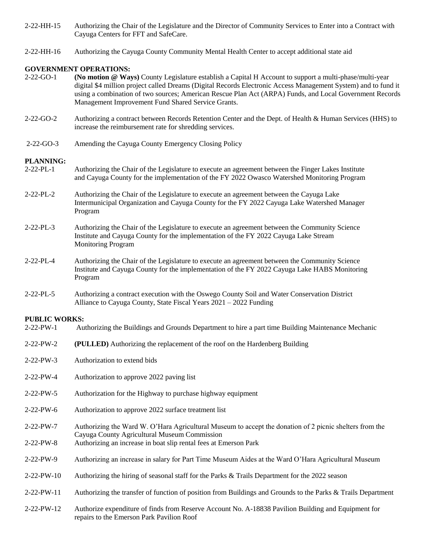- 2-22-HH-15 Authorizing the Chair of the Legislature and the Director of Community Services to Enter into a Contract with Cayuga Centers for FFT and SafeCare.
- 2-22-HH-16 Authorizing the Cayuga County Community Mental Health Center to accept additional state aid

# **GOVERNMENT OPERATIONS:**

- 2-22-GO-1 **(No motion @ Ways)** County Legislature establish a Capital H Account to support a multi-phase/multi-year digital \$4 million project called Dreams (Digital Records Electronic Access Management System) and to fund it using a combination of two sources; American Rescue Plan Act (ARPA) Funds, and Local Government Records Management Improvement Fund Shared Service Grants.
- 2-22-GO-2 Authorizing a contract between Records Retention Center and the Dept. of Health & Human Services (HHS) to increase the reimbursement rate for shredding services.
- 2-22-GO-3 Amending the Cayuga County Emergency Closing Policy

# **PLANNING:**

- 2-22-PL-1 Authorizing the Chair of the Legislature to execute an agreement between the Finger Lakes Institute and Cayuga County for the implementation of the FY 2022 Owasco Watershed Monitoring Program
- 2-22-PL-2 Authorizing the Chair of the Legislature to execute an agreement between the Cayuga Lake Intermunicipal Organization and Cayuga County for the FY 2022 Cayuga Lake Watershed Manager Program
- 2-22-PL-3 Authorizing the Chair of the Legislature to execute an agreement between the Community Science Institute and Cayuga County for the implementation of the FY 2022 Cayuga Lake Stream Monitoring Program
- 2-22-PL-4 Authorizing the Chair of the Legislature to execute an agreement between the Community Science Institute and Cayuga County for the implementation of the FY 2022 Cayuga Lake HABS Monitoring Program
- 2-22-PL-5 Authorizing a contract execution with the Oswego County Soil and Water Conservation District Alliance to Cayuga County, State Fiscal Years 2021 – 2022 Funding

#### **PUBLIC WORKS:**

- 2-22-PW-1 Authorizing the Buildings and Grounds Department to hire a part time Building Maintenance Mechanic
- 2-22-PW-2 **(PULLED)** Authorizing the replacement of the roof on the Hardenberg Building
- 2-22-PW-3 Authorization to extend bids
- 2-22-PW-4 Authorization to approve 2022 paving list
- 2-22-PW-5 Authorization for the Highway to purchase highway equipment
- 2-22-PW-6 Authorization to approve 2022 surface treatment list
- 2-22-PW-7 Authorizing the Ward W. O'Hara Agricultural Museum to accept the donation of 2 picnic shelters from the Cayuga County Agricultural Museum Commission
- 2-22-PW-8 Authorizing an increase in boat slip rental fees at Emerson Park
- 2-22-PW-9 Authorizing an increase in salary for Part Time Museum Aides at the Ward O'Hara Agricultural Museum
- 2-22-PW-10 Authorizing the hiring of seasonal staff for the Parks & Trails Department for the 2022 season
- 2-22-PW-11 Authorizing the transfer of function of position from Buildings and Grounds to the Parks & Trails Department
- 2-22-PW-12 Authorize expenditure of finds from Reserve Account No. A-18838 Pavilion Building and Equipment for repairs to the Emerson Park Pavilion Roof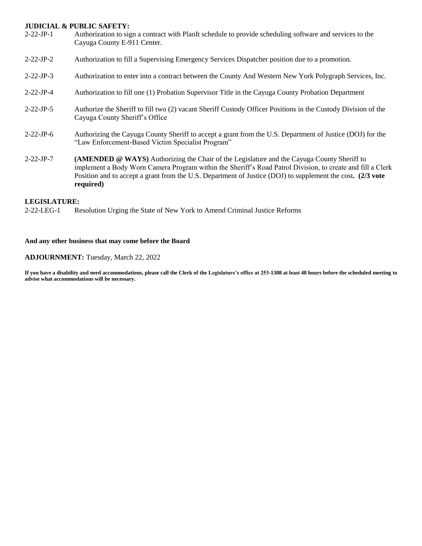#### **JUDICIAL & PUBLIC SAFETY:**

| $2 - 22 - JP -1$  | Authorization to sign a contract with PlanIt schedule to provide scheduling software and services to the<br>Cayuga County E-911 Center.                                                                                                                                                                                             |  |  |  |
|-------------------|-------------------------------------------------------------------------------------------------------------------------------------------------------------------------------------------------------------------------------------------------------------------------------------------------------------------------------------|--|--|--|
| $2 - 22 - JP -2$  | Authorization to fill a Supervising Emergency Services Dispatcher position due to a promotion.                                                                                                                                                                                                                                      |  |  |  |
| $2 - 22 - JP -3$  | Authorization to enter into a contract between the County And Western New York Polygraph Services, Inc.                                                                                                                                                                                                                             |  |  |  |
| $2 - 22 - JP -4$  | Authorization to fill one (1) Probation Supervisor Title in the Cayuga County Probation Department                                                                                                                                                                                                                                  |  |  |  |
| $2 - 22 - JP - 5$ | Authorize the Sheriff to fill two (2) vacant Sheriff Custody Officer Positions in the Custody Division of the<br>Cayuga County Sheriff's Office                                                                                                                                                                                     |  |  |  |
| $2 - 22 - JP -6$  | Authorizing the Cayuga County Sheriff to accept a grant from the U.S. Department of Justice (DOJ) for the<br>"Law Enforcement-Based Victim Specialist Program"                                                                                                                                                                      |  |  |  |
| $2 - 22 - JP -7$  | (AMENDED @ WAYS) Authorizing the Chair of the Legislature and the Cayuga County Sheriff to<br>implement a Body Worn Camera Program within the Sheriff's Road Patrol Division, to create and fill a Clerk<br>Position and to accept a grant from the U.S. Department of Justice (DOJ) to supplement the cost. (2/3 vote<br>required) |  |  |  |

# **LEGISLATURE:**

2-22-LEG-1 Resolution Urging the State of New York to Amend Criminal Justice Reforms

#### **And any other business that may come before the Board**

#### **ADJOURNMENT:** Tuesday, March 22, 2022

**If you have a disability and need accommodations, please call the Clerk of the Legislature's office at 253-1308 at least 48 hours before the scheduled meeting to advise what accommodations will be necessary.**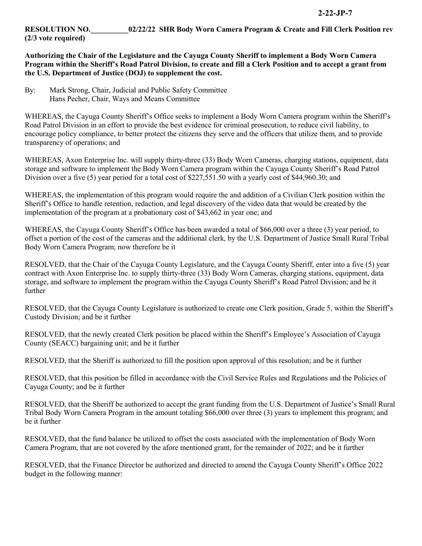# **RESOLUTION NO.** 02/22/22 SHR Body Worn Camera Program & Create and Fill Clerk Position rev

**Authorizing the Chair of the Legislature and the Cayuga County Sheriff to implement a Body Worn Camera Program within the Sheriff's Road Patrol Division, to create and fill a Clerk Position and to accept a grant from the U.S. Department of Justice (DOJ) to supplement the cost.** 

By: Mark Strong, Chair, Judicial and Public Safety Committee Hans Pecher, Chair, Ways and Means Committee

WHEREAS, the Cayuga County Sheriff's Office seeks to implement a Body Worn Camera program within the Sheriff's Road Patrol Division in an effort to provide the best evidence for criminal prosecution, to reduce civil liability, to encourage policy compliance, to better protect the citizens they serve and the officers that utilize them, and to provide transparency of operations; and

WHEREAS, Axon Enterprise Inc. will supply thirty-three (33) Body Worn Cameras, charging stations, equipment, data storage and software to implement the Body Worn Camera program within the Cayuga County Sheriff's Road Patrol Division over a five (5) year period for a total cost of \$227,551.50 with a yearly cost of \$44,960.30; and

WHEREAS, the implementation of this program would require the and addition of a Civilian Clerk position within the Sheriff's Office to handle retention, redaction, and legal discovery of the video data that would be created by the implementation of the program at a probationary cost of \$43,662 in year one; and

WHEREAS, the Cayuga County Sheriff's Office has been awarded a total of \$66,000 over a three (3) year period, to offset a portion of the cost of the cameras and the additional clerk, by the U.S. Department of Justice Small Rural Tribal Body Worn Camera Program; now therefore be it

RESOLVED, that the Chair of the Cayuga County Legislature, and the Cayuga County Sheriff, enter into a five (5) year contract with Axon Enterprise Inc. to supply thirty-three (33) Body Worn Cameras, charging stations, equipment, data storage, and software to implement the program within the Cayuga County Sheriff's Road Patrol Division; and be it further

RESOLVED, that the Cayuga County Legislature is authorized to create one Clerk position, Grade 5, within the Sheriff's Custody Division; and be it further

RESOLVED, that the newly created Clerk position be placed within the Sheriff's Employee's Association of Cayuga County (SEACC) bargaining unit; and be it further

RESOLVED, that the Sheriff is authorized to fill the position upon approval of this resolution; and be it further

RESOLVED, that this position be filled in accordance with the Civil Service Rules and Regulations and the Policies of Cayuga County; and be it further

RESOLVED, that the Sheriff be authorized to accept the grant funding from the U.S. Department of Justice's Small Rural Tribal Body Worn Camera Program in the amount totaling \$66,000 over three (3) years to implement this program; and be it further

RESOLVED, that the fund balance be utilized to offset the costs associated with the implementation of Body Worn Camera Program, that are not covered by the afore mentioned grant, for the remainder of 2022; and be it further

RESOLVED, that the Finance Director be authorized and directed to amend the Cayuga County Sheriff's Office 2022 budget in the following manner: